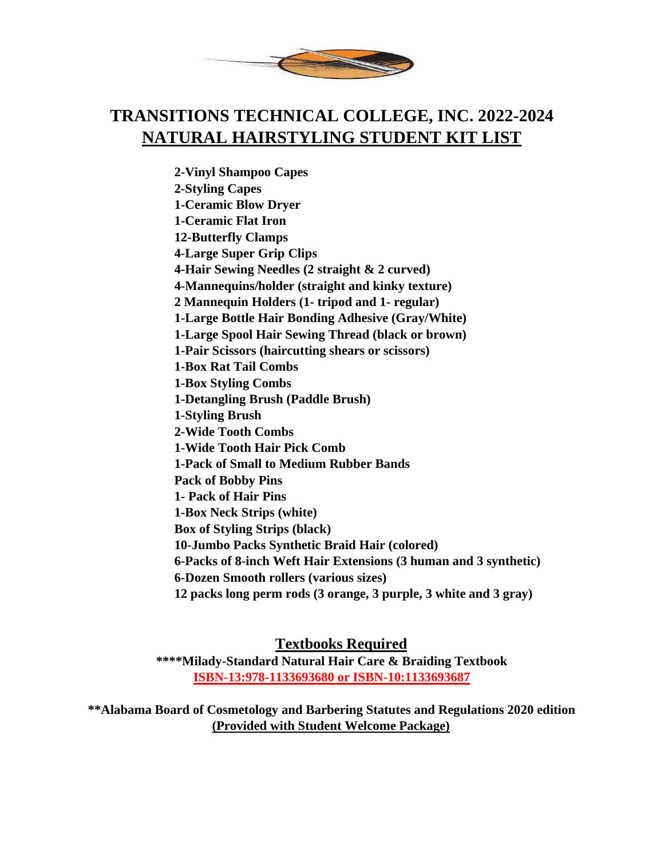

## **TRANSITIONS TECHNICAL COLLEGE, INC. 2022-2024 NATURAL HAIRSTYLING STUDENT KIT LIST**

**2-Vinyl Shampoo Capes 2-Styling Capes 1-Ceramic Blow Dryer 1-Ceramic Flat Iron 12-Butterfly Clamps 4-Large Super Grip Clips 4-Hair Sewing Needles (2 straight & 2 curved) 4-Mannequins/holder (straight and kinky texture) 2 Mannequin Holders (1- tripod and 1- regular) 1-Large Bottle Hair Bonding Adhesive (Gray/White) 1-Large Spool Hair Sewing Thread (black or brown) 1-Pair Scissors (haircutting shears or scissors) 1-Box Rat Tail Combs 1-Box Styling Combs 1-Detangling Brush (Paddle Brush) 1-Styling Brush 2-Wide Tooth Combs 1-Wide Tooth Hair Pick Comb 1-Pack of Small to Medium Rubber Bands Pack of Bobby Pins 1- Pack of Hair Pins 1-Box Neck Strips (white) Box of Styling Strips (black) 10-Jumbo Packs Synthetic Braid Hair (colored) 6-Packs of 8-inch Weft Hair Extensions (3 human and 3 synthetic) 6-Dozen Smooth rollers (various sizes) 12 packs long perm rods (3 orange, 3 purple, 3 white and 3 gray)**

## **Textbooks Required**

**\*\*\*\*Milady-Standard Natural Hair Care & Braiding Textbook ISBN-13:978-1133693680 or ISBN-10:1133693687**

**\*\*Alabama Board of Cosmetology and Barbering Statutes and Regulations 2020 edition (Provided with Student Welcome Package)**